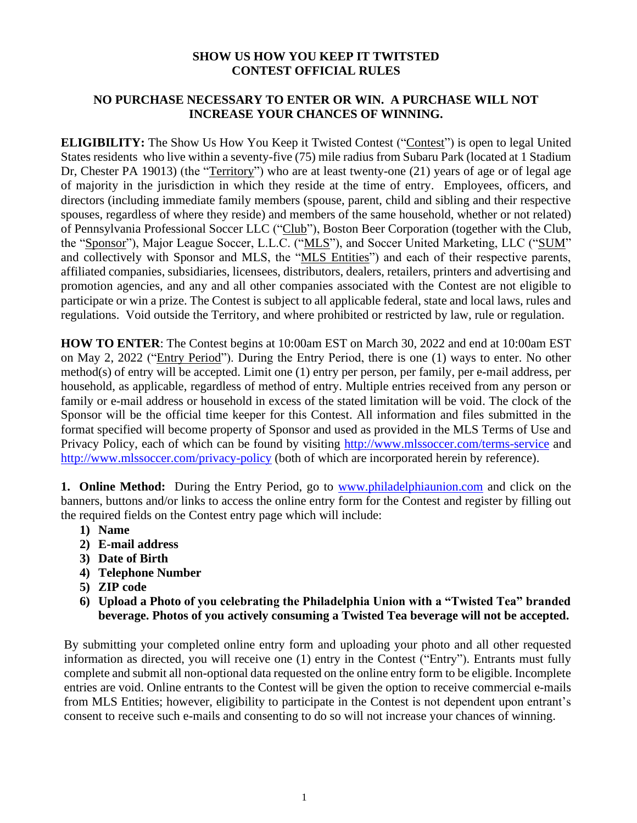## **SHOW US HOW YOU KEEP IT TWITSTED CONTEST OFFICIAL RULES**

## **NO PURCHASE NECESSARY TO ENTER OR WIN. A PURCHASE WILL NOT INCREASE YOUR CHANCES OF WINNING.**

**ELIGIBILITY:** The Show Us How You Keep it Twisted Contest ("Contest") is open to legal United States residents who live within a seventy-five (75) mile radius from Subaru Park (located at 1 Stadium Dr, Chester PA 19013) (the "Territory") who are at least twenty-one (21) years of age or of legal age of majority in the jurisdiction in which they reside at the time of entry. Employees, officers, and directors (including immediate family members (spouse, parent, child and sibling and their respective spouses, regardless of where they reside) and members of the same household, whether or not related) of Pennsylvania Professional Soccer LLC ("Club"), Boston Beer Corporation (together with the Club, the "Sponsor"), Major League Soccer, L.L.C. ("MLS"), and Soccer United Marketing, LLC ("SUM" and collectively with Sponsor and MLS, the "MLS Entities") and each of their respective parents, affiliated companies, subsidiaries, licensees, distributors, dealers, retailers, printers and advertising and promotion agencies, and any and all other companies associated with the Contest are not eligible to participate or win a prize. The Contest is subject to all applicable federal, state and local laws, rules and regulations. Void outside the Territory, and where prohibited or restricted by law, rule or regulation.

**HOW TO ENTER**: The Contest begins at 10:00am EST on March 30, 2022 and end at 10:00am EST on May 2, 2022 ("Entry Period"). During the Entry Period, there is one (1) ways to enter. No other method(s) of entry will be accepted. Limit one (1) entry per person, per family, per e-mail address, per household, as applicable, regardless of method of entry. Multiple entries received from any person or family or e-mail address or household in excess of the stated limitation will be void. The clock of the Sponsor will be the official time keeper for this Contest. All information and files submitted in the format specified will become property of Sponsor and used as provided in the MLS Terms of Use and Privacy Policy, each of which can be found by visiting<http://www.mlssoccer.com/terms-service> and <http://www.mlssoccer.com/privacy-policy> (both of which are incorporated herein by reference).

**1. Online Method:** During the Entry Period, go to [www.philadelphiaunion.com](http://www.philadelphiaunion.com/) and click on the banners, buttons and/or links to access the online entry form for the Contest and register by filling out the required fields on the Contest entry page which will include:

- **1) Name**
- **2) E-mail address**
- **3) Date of Birth**
- **4) Telephone Number**
- **5) ZIP code**
- **6) Upload a Photo of you celebrating the Philadelphia Union with a "Twisted Tea" branded beverage. Photos of you actively consuming a Twisted Tea beverage will not be accepted.**

By submitting your completed online entry form and uploading your photo and all other requested information as directed, you will receive one (1) entry in the Contest ("Entry"). Entrants must fully complete and submit all non-optional data requested on the online entry form to be eligible. Incomplete entries are void. Online entrants to the Contest will be given the option to receive commercial e-mails from MLS Entities; however, eligibility to participate in the Contest is not dependent upon entrant's consent to receive such e-mails and consenting to do so will not increase your chances of winning.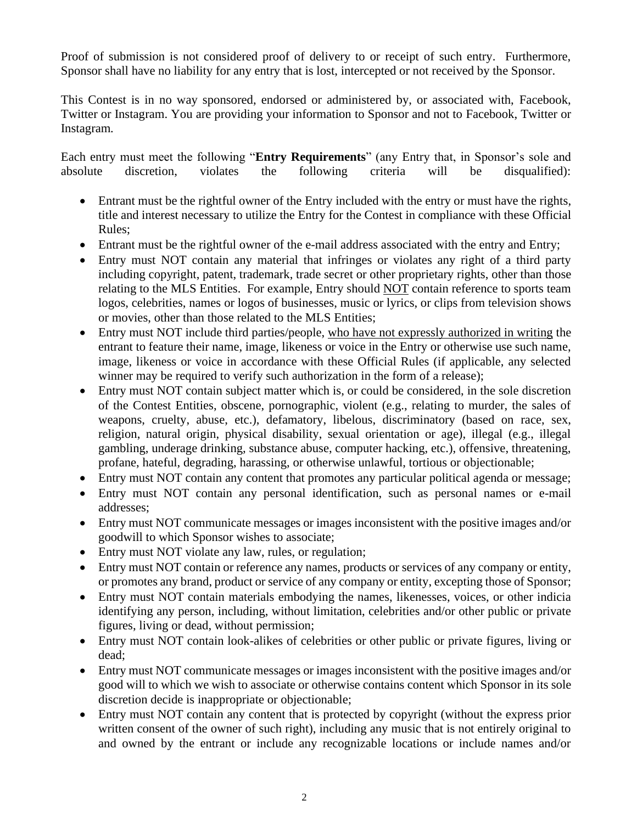Proof of submission is not considered proof of delivery to or receipt of such entry. Furthermore, Sponsor shall have no liability for any entry that is lost, intercepted or not received by the Sponsor.

This Contest is in no way sponsored, endorsed or administered by, or associated with, Facebook, Twitter or Instagram. You are providing your information to Sponsor and not to Facebook, Twitter or Instagram*.* 

Each entry must meet the following "**Entry Requirements**" (any Entry that, in Sponsor's sole and absolute discretion, violates the following criteria will be disqualified):

- Entrant must be the rightful owner of the Entry included with the entry or must have the rights, title and interest necessary to utilize the Entry for the Contest in compliance with these Official Rules;
- Entrant must be the rightful owner of the e-mail address associated with the entry and Entry;
- Entry must NOT contain any material that infringes or violates any right of a third party including copyright, patent, trademark, trade secret or other proprietary rights, other than those relating to the MLS Entities. For example, Entry should NOT contain reference to sports team logos, celebrities, names or logos of businesses, music or lyrics, or clips from television shows or movies, other than those related to the MLS Entities;
- Entry must NOT include third parties/people, who have not expressly authorized in writing the entrant to feature their name, image, likeness or voice in the Entry or otherwise use such name, image, likeness or voice in accordance with these Official Rules (if applicable, any selected winner may be required to verify such authorization in the form of a release);
- Entry must NOT contain subject matter which is, or could be considered, in the sole discretion of the Contest Entities, obscene, pornographic, violent (e.g., relating to murder, the sales of weapons, cruelty, abuse, etc.), defamatory, libelous, discriminatory (based on race, sex, religion, natural origin, physical disability, sexual orientation or age), illegal (e.g., illegal gambling, underage drinking, substance abuse, computer hacking, etc.), offensive, threatening, profane, hateful, degrading, harassing, or otherwise unlawful, tortious or objectionable;
- Entry must NOT contain any content that promotes any particular political agenda or message;
- Entry must NOT contain any personal identification, such as personal names or e-mail addresses;
- Entry must NOT communicate messages or images inconsistent with the positive images and/or goodwill to which Sponsor wishes to associate;
- Entry must NOT violate any law, rules, or regulation;
- Entry must NOT contain or reference any names, products or services of any company or entity, or promotes any brand, product or service of any company or entity, excepting those of Sponsor;
- Entry must NOT contain materials embodying the names, likenesses, voices, or other indicia identifying any person, including, without limitation, celebrities and/or other public or private figures, living or dead, without permission;
- Entry must NOT contain look-alikes of celebrities or other public or private figures, living or dead;
- Entry must NOT communicate messages or images inconsistent with the positive images and/or good will to which we wish to associate or otherwise contains content which Sponsor in its sole discretion decide is inappropriate or objectionable;
- Entry must NOT contain any content that is protected by copyright (without the express prior written consent of the owner of such right), including any music that is not entirely original to and owned by the entrant or include any recognizable locations or include names and/or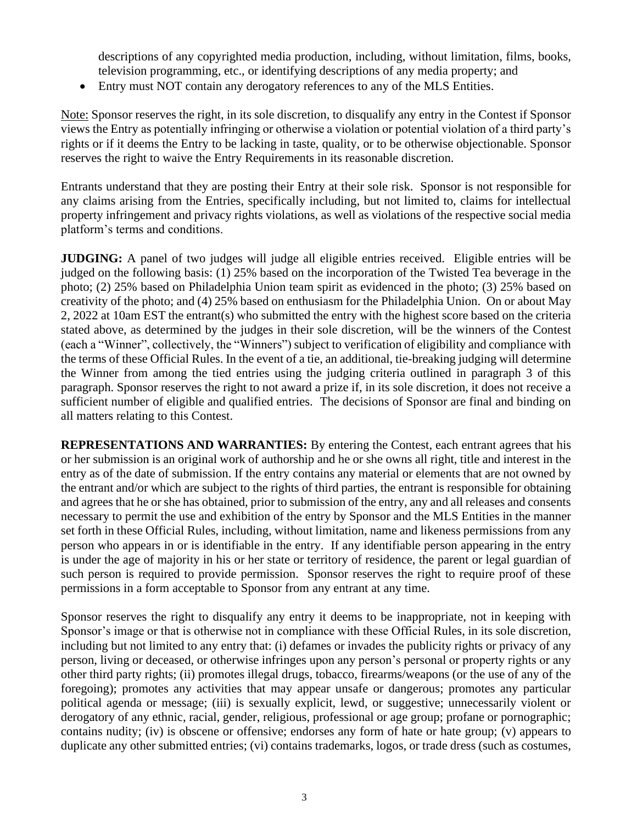descriptions of any copyrighted media production, including, without limitation, films, books, television programming, etc., or identifying descriptions of any media property; and

• Entry must NOT contain any derogatory references to any of the MLS Entities.

Note: Sponsor reserves the right, in its sole discretion, to disqualify any entry in the Contest if Sponsor views the Entry as potentially infringing or otherwise a violation or potential violation of a third party's rights or if it deems the Entry to be lacking in taste, quality, or to be otherwise objectionable. Sponsor reserves the right to waive the Entry Requirements in its reasonable discretion.

Entrants understand that they are posting their Entry at their sole risk. Sponsor is not responsible for any claims arising from the Entries, specifically including, but not limited to, claims for intellectual property infringement and privacy rights violations, as well as violations of the respective social media platform's terms and conditions.

**JUDGING:** A panel of two judges will judge all eligible entries received. Eligible entries will be judged on the following basis: (1) 25% based on the incorporation of the Twisted Tea beverage in the photo; (2) 25% based on Philadelphia Union team spirit as evidenced in the photo; (3) 25% based on creativity of the photo; and (4) 25% based on enthusiasm for the Philadelphia Union. On or about May 2, 2022 at 10am EST the entrant(s) who submitted the entry with the highest score based on the criteria stated above, as determined by the judges in their sole discretion, will be the winners of the Contest (each a "Winner", collectively, the "Winners") subject to verification of eligibility and compliance with the terms of these Official Rules. In the event of a tie, an additional, tie-breaking judging will determine the Winner from among the tied entries using the judging criteria outlined in paragraph 3 of this paragraph. Sponsor reserves the right to not award a prize if, in its sole discretion, it does not receive a sufficient number of eligible and qualified entries. The decisions of Sponsor are final and binding on all matters relating to this Contest.

**REPRESENTATIONS AND WARRANTIES:** By entering the Contest, each entrant agrees that his or her submission is an original work of authorship and he or she owns all right, title and interest in the entry as of the date of submission. If the entry contains any material or elements that are not owned by the entrant and/or which are subject to the rights of third parties, the entrant is responsible for obtaining and agrees that he or she has obtained, prior to submission of the entry, any and all releases and consents necessary to permit the use and exhibition of the entry by Sponsor and the MLS Entities in the manner set forth in these Official Rules, including, without limitation, name and likeness permissions from any person who appears in or is identifiable in the entry. If any identifiable person appearing in the entry is under the age of majority in his or her state or territory of residence, the parent or legal guardian of such person is required to provide permission. Sponsor reserves the right to require proof of these permissions in a form acceptable to Sponsor from any entrant at any time.

Sponsor reserves the right to disqualify any entry it deems to be inappropriate, not in keeping with Sponsor's image or that is otherwise not in compliance with these Official Rules, in its sole discretion, including but not limited to any entry that: (i) defames or invades the publicity rights or privacy of any person, living or deceased, or otherwise infringes upon any person's personal or property rights or any other third party rights; (ii) promotes illegal drugs, tobacco, firearms/weapons (or the use of any of the foregoing); promotes any activities that may appear unsafe or dangerous; promotes any particular political agenda or message; (iii) is sexually explicit, lewd, or suggestive; unnecessarily violent or derogatory of any ethnic, racial, gender, religious, professional or age group; profane or pornographic; contains nudity; (iv) is obscene or offensive; endorses any form of hate or hate group; (v) appears to duplicate any other submitted entries; (vi) contains trademarks, logos, or trade dress (such as costumes,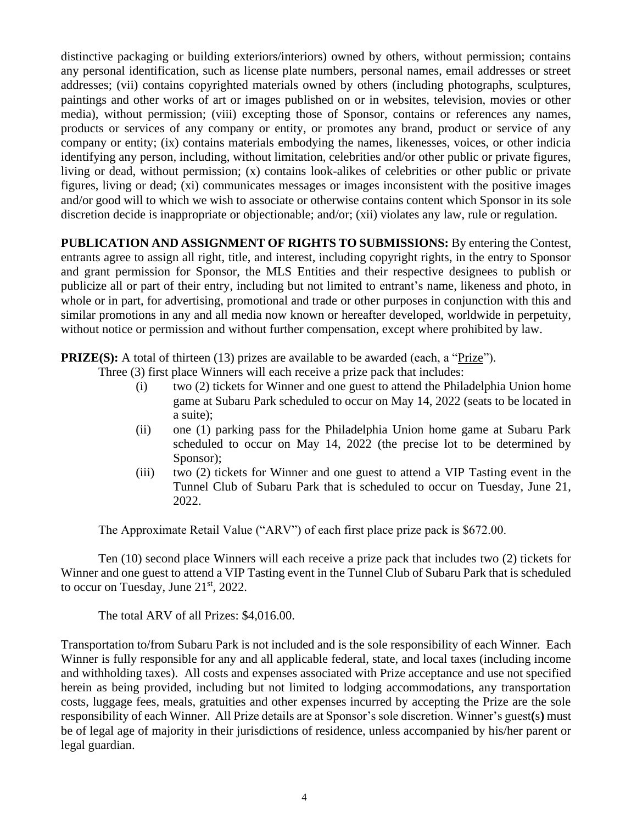distinctive packaging or building exteriors/interiors) owned by others, without permission; contains any personal identification, such as license plate numbers, personal names, email addresses or street addresses; (vii) contains copyrighted materials owned by others (including photographs, sculptures, paintings and other works of art or images published on or in websites, television, movies or other media), without permission; (viii) excepting those of Sponsor, contains or references any names, products or services of any company or entity, or promotes any brand, product or service of any company or entity; (ix) contains materials embodying the names, likenesses, voices, or other indicia identifying any person, including, without limitation, celebrities and/or other public or private figures, living or dead, without permission; (x) contains look-alikes of celebrities or other public or private figures, living or dead; (xi) communicates messages or images inconsistent with the positive images and/or good will to which we wish to associate or otherwise contains content which Sponsor in its sole discretion decide is inappropriate or objectionable; and/or; (xii) violates any law, rule or regulation.

**PUBLICATION AND ASSIGNMENT OF RIGHTS TO SUBMISSIONS:** By entering the Contest, entrants agree to assign all right, title, and interest, including copyright rights, in the entry to Sponsor and grant permission for Sponsor, the MLS Entities and their respective designees to publish or publicize all or part of their entry, including but not limited to entrant's name, likeness and photo, in whole or in part, for advertising, promotional and trade or other purposes in conjunction with this and similar promotions in any and all media now known or hereafter developed, worldwide in perpetuity, without notice or permission and without further compensation, except where prohibited by law.

**PRIZE(S):** A total of thirteen (13) prizes are available to be awarded (each, a "Prize").

- Three (3) first place Winners will each receive a prize pack that includes:
	- (i) two (2) tickets for Winner and one guest to attend the Philadelphia Union home game at Subaru Park scheduled to occur on May 14, 2022 (seats to be located in a suite);
	- (ii) one (1) parking pass for the Philadelphia Union home game at Subaru Park scheduled to occur on May 14, 2022 (the precise lot to be determined by Sponsor);
	- (iii) two (2) tickets for Winner and one guest to attend a VIP Tasting event in the Tunnel Club of Subaru Park that is scheduled to occur on Tuesday, June 21, 2022.

The Approximate Retail Value ("ARV") of each first place prize pack is \$672.00.

Ten (10) second place Winners will each receive a prize pack that includes two (2) tickets for Winner and one guest to attend a VIP Tasting event in the Tunnel Club of Subaru Park that is scheduled to occur on Tuesday, June  $21<sup>st</sup>$ , 2022.

The total ARV of all Prizes: \$4,016.00.

Transportation to/from Subaru Park is not included and is the sole responsibility of each Winner*.* Each Winner is fully responsible for any and all applicable federal, state, and local taxes (including income and withholding taxes). All costs and expenses associated with Prize acceptance and use not specified herein as being provided, including but not limited to lodging accommodations, any transportation costs, luggage fees, meals, gratuities and other expenses incurred by accepting the Prize are the sole responsibility of each Winner. All Prize details are at Sponsor's sole discretion. Winner's guest**(**s**)** must be of legal age of majority in their jurisdictions of residence, unless accompanied by his/her parent or legal guardian.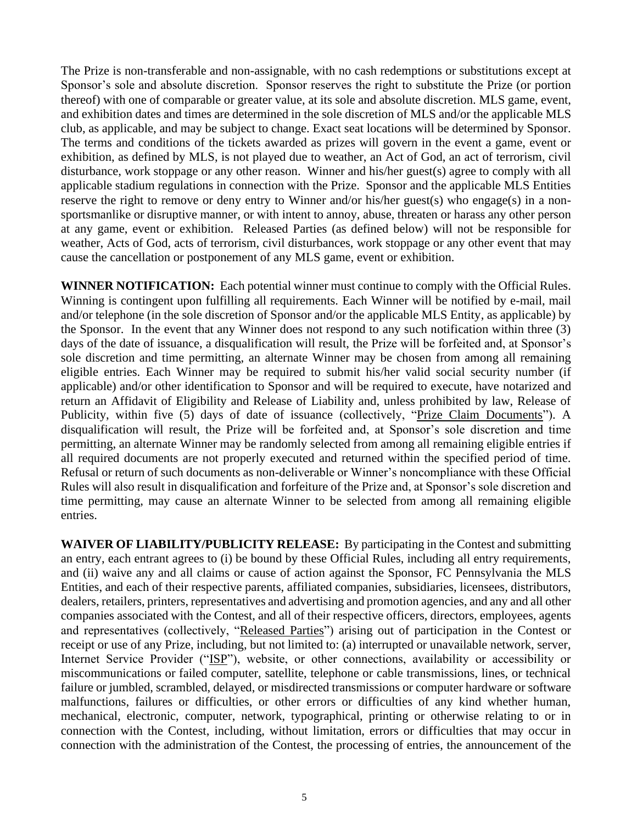The Prize is non-transferable and non-assignable, with no cash redemptions or substitutions except at Sponsor's sole and absolute discretion. Sponsor reserves the right to substitute the Prize (or portion thereof) with one of comparable or greater value, at its sole and absolute discretion. MLS game, event, and exhibition dates and times are determined in the sole discretion of MLS and/or the applicable MLS club, as applicable, and may be subject to change. Exact seat locations will be determined by Sponsor. The terms and conditions of the tickets awarded as prizes will govern in the event a game, event or exhibition, as defined by MLS, is not played due to weather, an Act of God, an act of terrorism, civil disturbance, work stoppage or any other reason. Winner and his/her guest(s) agree to comply with all applicable stadium regulations in connection with the Prize. Sponsor and the applicable MLS Entities reserve the right to remove or deny entry to Winner and/or his/her guest(s) who engage(s) in a nonsportsmanlike or disruptive manner, or with intent to annoy, abuse, threaten or harass any other person at any game, event or exhibition. Released Parties (as defined below) will not be responsible for weather, Acts of God, acts of terrorism, civil disturbances, work stoppage or any other event that may cause the cancellation or postponement of any MLS game, event or exhibition.

**WINNER NOTIFICATION:** Each potential winner must continue to comply with the Official Rules. Winning is contingent upon fulfilling all requirements. Each Winner will be notified by e-mail, mail and/or telephone (in the sole discretion of Sponsor and/or the applicable MLS Entity, as applicable) by the Sponsor. In the event that any Winner does not respond to any such notification within three (3) days of the date of issuance, a disqualification will result, the Prize will be forfeited and, at Sponsor's sole discretion and time permitting, an alternate Winner may be chosen from among all remaining eligible entries. Each Winner may be required to submit his/her valid social security number (if applicable) and/or other identification to Sponsor and will be required to execute, have notarized and return an Affidavit of Eligibility and Release of Liability and, unless prohibited by law, Release of Publicity, within five (5) days of date of issuance (collectively, "Prize Claim Documents"). A disqualification will result, the Prize will be forfeited and, at Sponsor's sole discretion and time permitting, an alternate Winner may be randomly selected from among all remaining eligible entries if all required documents are not properly executed and returned within the specified period of time. Refusal or return of such documents as non-deliverable or Winner's noncompliance with these Official Rules will also result in disqualification and forfeiture of the Prize and, at Sponsor's sole discretion and time permitting, may cause an alternate Winner to be selected from among all remaining eligible entries.

**WAIVER OF LIABILITY/PUBLICITY RELEASE:** By participating in the Contest and submitting an entry, each entrant agrees to (i) be bound by these Official Rules, including all entry requirements, and (ii) waive any and all claims or cause of action against the Sponsor, FC Pennsylvania the MLS Entities, and each of their respective parents, affiliated companies, subsidiaries, licensees, distributors, dealers, retailers, printers, representatives and advertising and promotion agencies, and any and all other companies associated with the Contest, and all of their respective officers, directors, employees, agents and representatives (collectively, "Released Parties") arising out of participation in the Contest or receipt or use of any Prize, including, but not limited to: (a) interrupted or unavailable network, server, Internet Service Provider ("ISP"), website, or other connections, availability or accessibility or miscommunications or failed computer, satellite, telephone or cable transmissions, lines, or technical failure or jumbled, scrambled, delayed, or misdirected transmissions or computer hardware or software malfunctions, failures or difficulties, or other errors or difficulties of any kind whether human, mechanical, electronic, computer, network, typographical, printing or otherwise relating to or in connection with the Contest, including, without limitation, errors or difficulties that may occur in connection with the administration of the Contest, the processing of entries, the announcement of the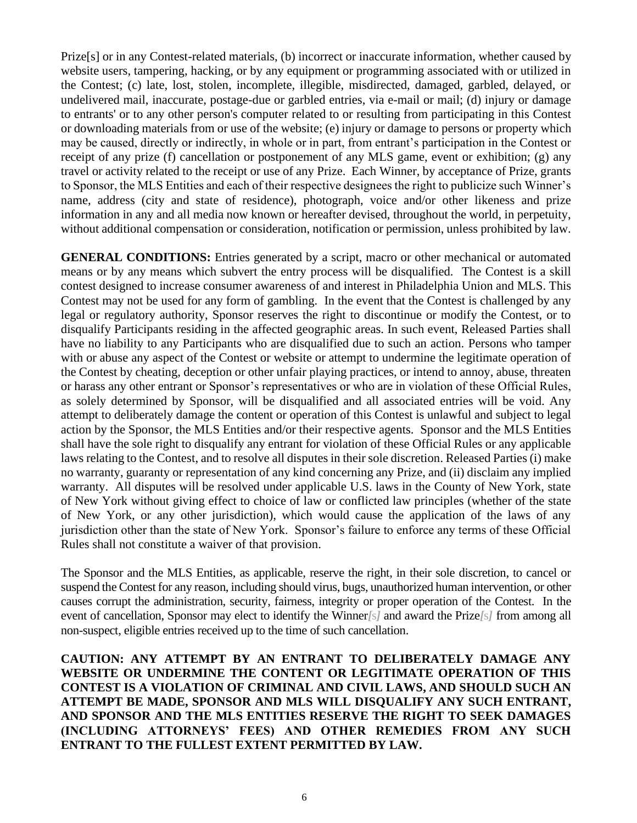Prize[s] or in any Contest-related materials, (b) incorrect or inaccurate information, whether caused by website users, tampering, hacking, or by any equipment or programming associated with or utilized in the Contest; (c) late, lost, stolen, incomplete, illegible, misdirected, damaged, garbled, delayed, or undelivered mail, inaccurate, postage-due or garbled entries, via e-mail or mail; (d) injury or damage to entrants' or to any other person's computer related to or resulting from participating in this Contest or downloading materials from or use of the website; (e) injury or damage to persons or property which may be caused, directly or indirectly, in whole or in part, from entrant's participation in the Contest or receipt of any prize (f) cancellation or postponement of any MLS game, event or exhibition; (g) any travel or activity related to the receipt or use of any Prize. Each Winner, by acceptance of Prize, grants to Sponsor, the MLS Entities and each of their respective designees the right to publicize such Winner's name, address (city and state of residence), photograph, voice and/or other likeness and prize information in any and all media now known or hereafter devised, throughout the world, in perpetuity, without additional compensation or consideration, notification or permission, unless prohibited by law.

**GENERAL CONDITIONS:** Entries generated by a script, macro or other mechanical or automated means or by any means which subvert the entry process will be disqualified. The Contest is a skill contest designed to increase consumer awareness of and interest in Philadelphia Union and MLS. This Contest may not be used for any form of gambling. In the event that the Contest is challenged by any legal or regulatory authority, Sponsor reserves the right to discontinue or modify the Contest, or to disqualify Participants residing in the affected geographic areas. In such event, Released Parties shall have no liability to any Participants who are disqualified due to such an action. Persons who tamper with or abuse any aspect of the Contest or website or attempt to undermine the legitimate operation of the Contest by cheating, deception or other unfair playing practices, or intend to annoy, abuse, threaten or harass any other entrant or Sponsor's representatives or who are in violation of these Official Rules, as solely determined by Sponsor, will be disqualified and all associated entries will be void. Any attempt to deliberately damage the content or operation of this Contest is unlawful and subject to legal action by the Sponsor, the MLS Entities and/or their respective agents. Sponsor and the MLS Entities shall have the sole right to disqualify any entrant for violation of these Official Rules or any applicable laws relating to the Contest, and to resolve all disputes in their sole discretion. Released Parties (i) make no warranty, guaranty or representation of any kind concerning any Prize, and (ii) disclaim any implied warranty. All disputes will be resolved under applicable U.S. laws in the County of New York, state of New York without giving effect to choice of law or conflicted law principles (whether of the state of New York, or any other jurisdiction), which would cause the application of the laws of any jurisdiction other than the state of New York. Sponsor's failure to enforce any terms of these Official Rules shall not constitute a waiver of that provision.

The Sponsor and the MLS Entities, as applicable, reserve the right, in their sole discretion, to cancel or suspend the Contest for any reason, including should virus, bugs, unauthorized human intervention, or other causes corrupt the administration, security, fairness, integrity or proper operation of the Contest. In the event of cancellation, Sponsor may elect to identify the Winner*[*s*]* and award the Prize*[*s*]* from among all non-suspect, eligible entries received up to the time of such cancellation.

**CAUTION: ANY ATTEMPT BY AN ENTRANT TO DELIBERATELY DAMAGE ANY WEBSITE OR UNDERMINE THE CONTENT OR LEGITIMATE OPERATION OF THIS CONTEST IS A VIOLATION OF CRIMINAL AND CIVIL LAWS, AND SHOULD SUCH AN ATTEMPT BE MADE, SPONSOR AND MLS WILL DISQUALIFY ANY SUCH ENTRANT, AND SPONSOR AND THE MLS ENTITIES RESERVE THE RIGHT TO SEEK DAMAGES (INCLUDING ATTORNEYS' FEES) AND OTHER REMEDIES FROM ANY SUCH ENTRANT TO THE FULLEST EXTENT PERMITTED BY LAW.**